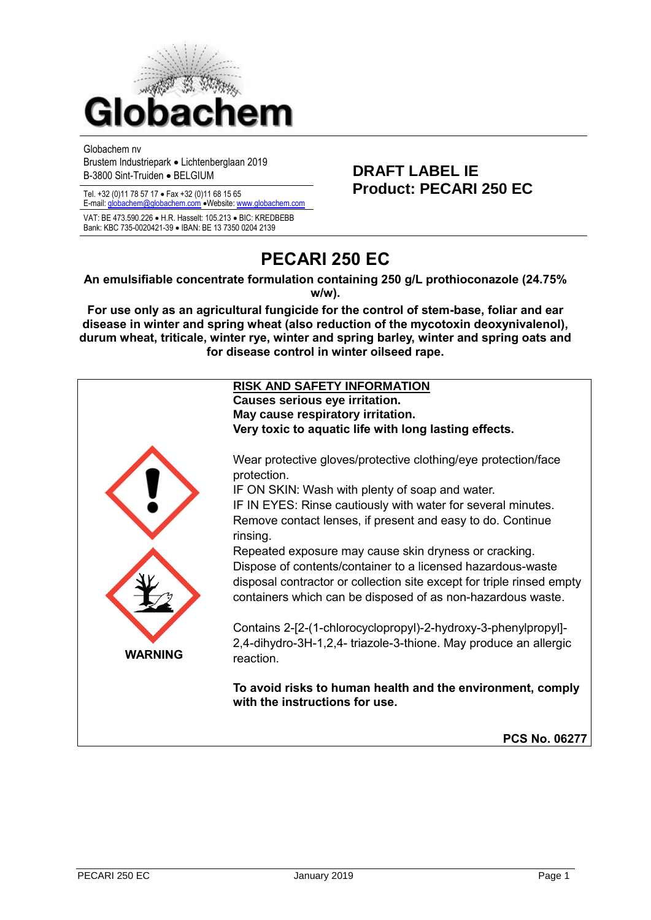

Globachem nv

Brustem Industriepark • Lichtenberglaan 2019 B-3800 Sint-Truiden • BELGIUM **DRAFT LABEL IE**

E-mail[: globachem@globachem.com](mailto:globachem@globachem.com) •Website[: www.globachem.com](mailto:globachem@globachem.com)

VAT: BE 473.590.226 • H.R. Hasselt: 105.213 • BIC: KREDBEBB Bank: KBC 735-0020421-39 • IBAN: BE 13 7350 0204 2139

# Tel. +32 (0)11 78 57 17 • Fax +32 (0)11 68 15 65 **Product: PECARI 250 EC**

# **PECARI 250 EC**

#### **An emulsifiable concentrate formulation containing 250 g/L prothioconazole (24.75% w/w).**

**For use only as an agricultural fungicide for the control of stem-base, foliar and ear disease in winter and spring wheat (also reduction of the mycotoxin deoxynivalenol), durum wheat, triticale, winter rye, winter and spring barley, winter and spring oats and for disease control in winter oilseed rape.**

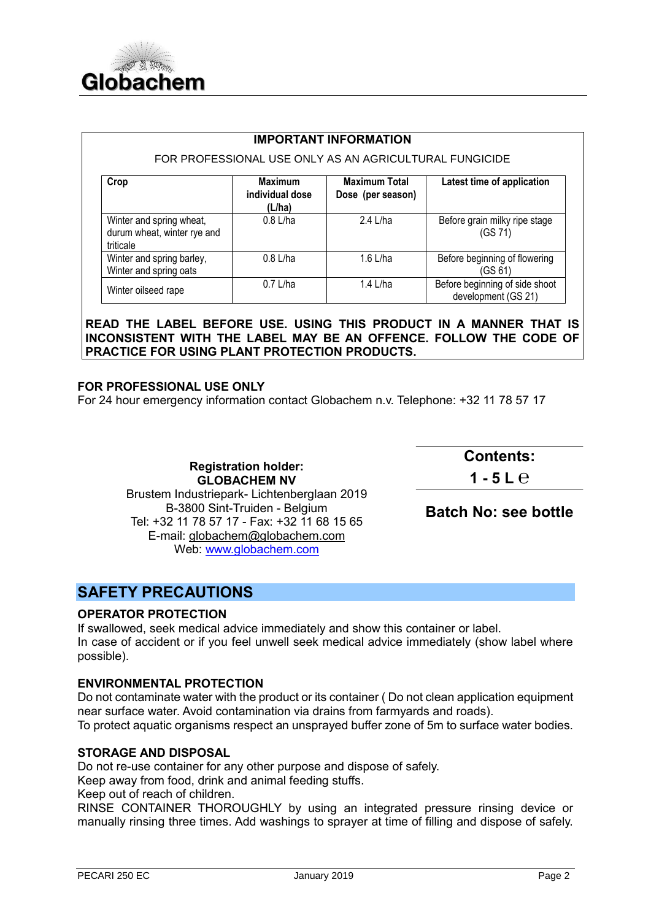

| <b>IMPORTANT INFORMATION</b> |  |
|------------------------------|--|
|------------------------------|--|

#### FOR PROFESSIONAL USE ONLY AS AN AGRICULTURAL FUNGICIDE

| Crop                                                                 | <b>Maximum</b><br>individual dose<br>(L/ha) | <b>Maximum Total</b><br>Dose (per season) | Latest time of application                            |
|----------------------------------------------------------------------|---------------------------------------------|-------------------------------------------|-------------------------------------------------------|
| Winter and spring wheat,<br>durum wheat, winter rye and<br>triticale | $0.8$ L/ha                                  | 2.4 L/ha                                  | Before grain milky ripe stage<br>(GS 71)              |
| Winter and spring barley,<br>Winter and spring oats                  | $0.8$ L/ha                                  | 1.6 L/ha                                  | Before beginning of flowering<br>(GS 61)              |
| Winter oilseed rape                                                  | $0.7$ L/ha                                  | 1.4 L/ha                                  | Before beginning of side shoot<br>development (GS 21) |

**READ THE LABEL BEFORE USE. USING THIS PRODUCT IN A MANNER THAT IS INCONSISTENT WITH THE LABEL MAY BE AN OFFENCE. FOLLOW THE CODE OF PRACTICE FOR USING PLANT PROTECTION PRODUCTS.**

#### **FOR PROFESSIONAL USE ONLY**

For 24 hour emergency information contact Globachem n.v. Telephone: +32 11 78 57 17

**Registration holder: GLOBACHEM NV** Brustem Industriepark- Lichtenberglaan 2019 B-3800 Sint-Truiden - Belgium Tel: +32 11 78 57 17 - Fax: +32 11 68 15 65 E-mail: [globachem@globachem.com](mailto:globachem@globachem.com) Web: [www.globachem.com](http://www.globachem.com/)

**Contents:** 

**1 - 5 L ℮**

**Batch No: see bottle**

# **SAFETY PRECAUTIONS**

#### **OPERATOR PROTECTION**

If swallowed, seek medical advice immediately and show this container or label. In case of accident or if you feel unwell seek medical advice immediately (show label where possible).

#### **ENVIRONMENTAL PROTECTION**

Do not contaminate water with the product or its container ( Do not clean application equipment near surface water. Avoid contamination via drains from farmyards and roads).

To protect aquatic organisms respect an unsprayed buffer zone of 5m to surface water bodies.

#### **STORAGE AND DISPOSAL**

Do not re-use container for any other purpose and dispose of safely.

Keep away from food, drink and animal feeding stuffs.

Keep out of reach of children.

RINSE CONTAINER THOROUGHLY by using an integrated pressure rinsing device or manually rinsing three times. Add washings to sprayer at time of filling and dispose of safely.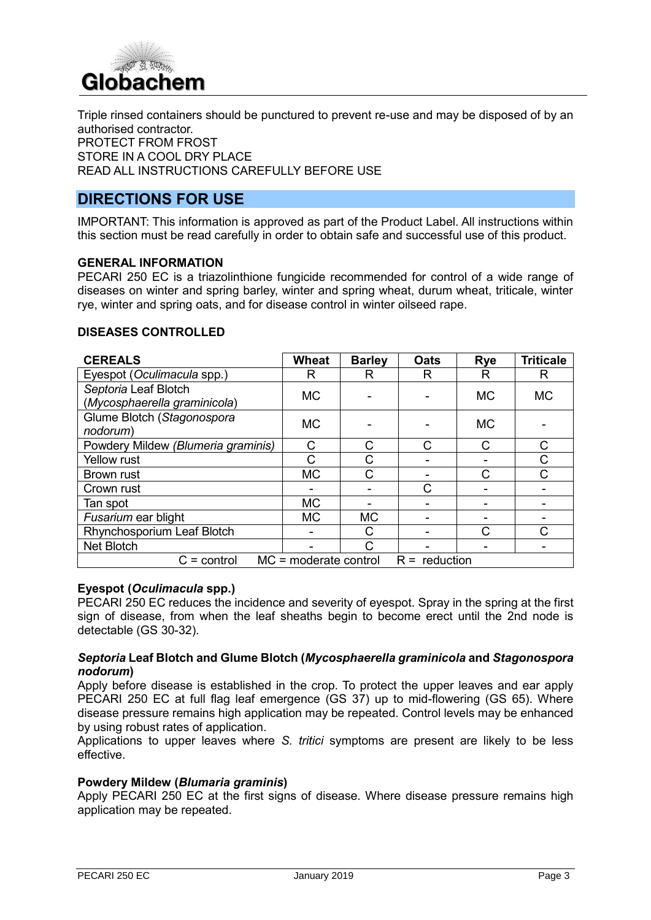

Triple rinsed containers should be punctured to prevent re-use and may be disposed of by an authorised contractor. PROTECT FROM FROST STORE IN A COOL DRY PLACE READ ALL INSTRUCTIONS CAREFULLY BEFORE USE

### **DIRECTIONS FOR USE**

IMPORTANT: This information is approved as part of the Product Label. All instructions within this section must be read carefully in order to obtain safe and successful use of this product.

#### **GENERAL INFORMATION**

PECARI 250 EC is a triazolinthione fungicide recommended for control of a wide range of diseases on winter and spring barley, winter and spring wheat, durum wheat, triticale, winter rye, winter and spring oats, and for disease control in winter oilseed rape.

#### **DISEASES CONTROLLED**

| <b>CEREALS</b>                                              | <b>Wheat</b> | <b>Barley</b> | <b>Oats</b>  | <b>Rye</b> | <b>Triticale</b> |
|-------------------------------------------------------------|--------------|---------------|--------------|------------|------------------|
| Eyespot (Oculimacula spp.)                                  | R            | R             | R            | R          | R                |
| Septoria Leaf Blotch<br>(Mycosphaerella graminicola)        | <b>MC</b>    |               |              | <b>MC</b>  | <b>MC</b>        |
| Glume Blotch (Stagonospora<br>nodorum)                      | <b>MC</b>    |               |              | <b>MC</b>  |                  |
| Powdery Mildew (Blumeria graminis)                          | С            | С             | $\mathsf{C}$ | C          | C                |
| <b>Yellow rust</b>                                          |              | С             |              |            | С                |
| <b>Brown rust</b>                                           | <b>MC</b>    | C             |              | C          | $\mathsf{C}$     |
| Crown rust                                                  |              |               | C            |            |                  |
| Tan spot                                                    | <b>MC</b>    |               |              |            |                  |
| Fusarium ear blight                                         | <b>MC</b>    | <b>MC</b>     |              |            |                  |
| Rhynchosporium Leaf Blotch                                  |              | C             |              | C          | С                |
| Net Blotch                                                  |              | C             |              |            |                  |
| $MC = moderate control$<br>$R =$ reduction<br>$C =$ control |              |               |              |            |                  |

#### **Eyespot (***Oculimacula* **spp.)**

PECARI 250 EC reduces the incidence and severity of eyespot. Spray in the spring at the first sign of disease, from when the leaf sheaths begin to become erect until the 2nd node is detectable (GS 30-32).

#### *Septoria* **Leaf Blotch and Glume Blotch (***Mycosphaerella graminicola* **and** *Stagonospora nodorum***)**

Apply before disease is established in the crop. To protect the upper leaves and ear apply PECARI 250 EC at full flag leaf emergence (GS 37) up to mid-flowering (GS 65). Where disease pressure remains high application may be repeated. Control levels may be enhanced by using robust rates of application.

Applications to upper leaves where *S. tritici* symptoms are present are likely to be less effective.

#### **Powdery Mildew (***Blumaria graminis***)**

Apply PECARI 250 EC at the first signs of disease. Where disease pressure remains high application may be repeated.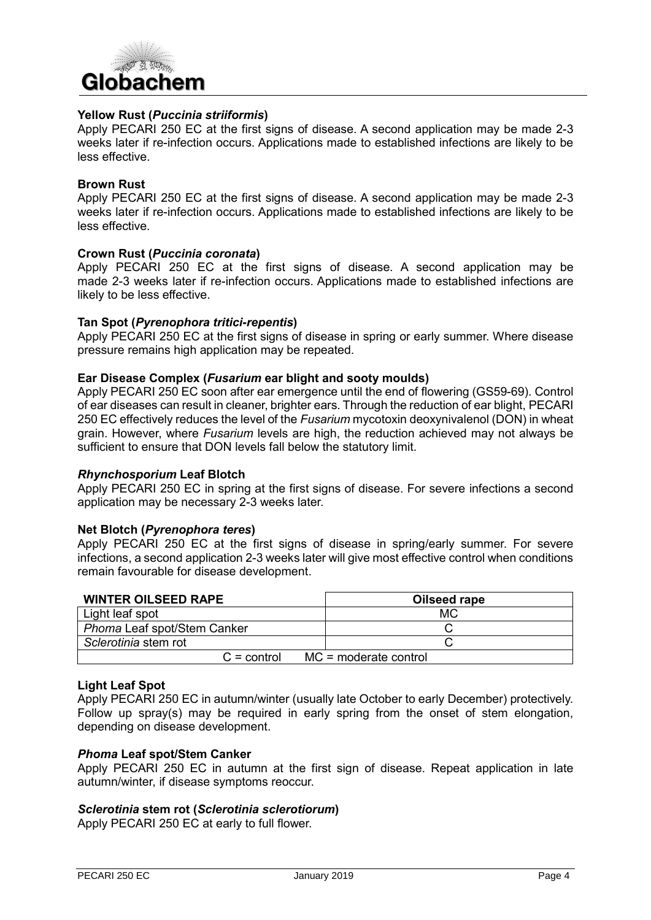

#### **Yellow Rust (***Puccinia striiformis***)**

Apply PECARI 250 EC at the first signs of disease. A second application may be made 2-3 weeks later if re-infection occurs. Applications made to established infections are likely to be less effective.

#### **Brown Rust**

Apply PECARI 250 EC at the first signs of disease. A second application may be made 2-3 weeks later if re-infection occurs. Applications made to established infections are likely to be less effective.

#### **Crown Rust (***Puccinia coronata***)**

Apply PECARI 250 EC at the first signs of disease. A second application may be made 2-3 weeks later if re-infection occurs. Applications made to established infections are likely to be less effective.

#### **Tan Spot (***Pyrenophora tritici-repentis***)**

Apply PECARI 250 EC at the first signs of disease in spring or early summer. Where disease pressure remains high application may be repeated.

#### **Ear Disease Complex (***Fusarium* **ear blight and sooty moulds)**

Apply PECARI 250 EC soon after ear emergence until the end of flowering (GS59-69). Control of ear diseases can result in cleaner, brighter ears. Through the reduction of ear blight, PECARI 250 EC effectively reduces the level of the *Fusarium* mycotoxin deoxynivalenol (DON) in wheat grain. However, where *Fusarium* levels are high, the reduction achieved may not always be sufficient to ensure that DON levels fall below the statutory limit.

#### *Rhynchosporium* **Leaf Blotch**

Apply PECARI 250 EC in spring at the first signs of disease. For severe infections a second application may be necessary 2-3 weeks later.

#### **Net Blotch (***Pyrenophora teres***)**

Apply PECARI 250 EC at the first signs of disease in spring/early summer. For severe infections, a second application 2-3 weeks later will give most effective control when conditions remain favourable for disease development.

| <b>WINTER OILSEED RAPE</b>               | Oilseed rape |
|------------------------------------------|--------------|
| Light leaf spot                          | МC           |
| Phoma Leaf spot/Stem Canker              |              |
| Sclerotinia stem rot                     |              |
| $MC = moderate control$<br>$C =$ control |              |

#### **Light Leaf Spot**

Apply PECARI 250 EC in autumn/winter (usually late October to early December) protectively. Follow up spray(s) may be required in early spring from the onset of stem elongation, depending on disease development.

#### *Phoma* **Leaf spot/Stem Canker**

Apply PECARI 250 EC in autumn at the first sign of disease. Repeat application in late autumn/winter, if disease symptoms reoccur.

#### *Sclerotinia* **stem rot (***Sclerotinia sclerotiorum***)**

Apply PECARI 250 EC at early to full flower.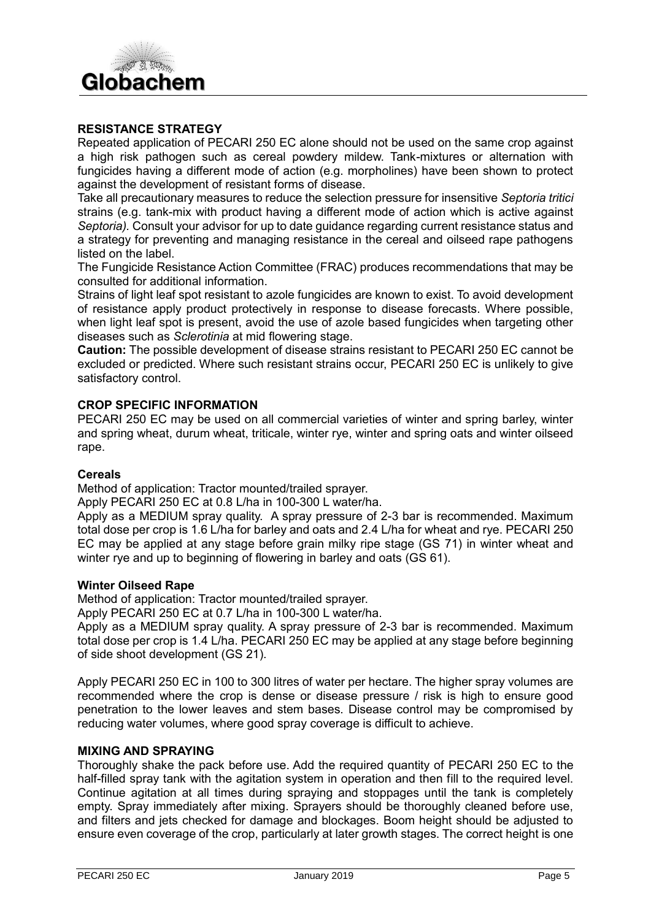# Globachem

#### **RESISTANCE STRATEGY**

Repeated application of PECARI 250 EC alone should not be used on the same crop against a high risk pathogen such as cereal powdery mildew. Tank-mixtures or alternation with fungicides having a different mode of action (e.g. morpholines) have been shown to protect against the development of resistant forms of disease.

Take all precautionary measures to reduce the selection pressure for insensitive *Septoria tritici* strains (e.g. tank-mix with product having a different mode of action which is active against *Septoria).* Consult your advisor for up to date guidance regarding current resistance status and a strategy for preventing and managing resistance in the cereal and oilseed rape pathogens listed on the label.

The Fungicide Resistance Action Committee (FRAC) produces recommendations that may be consulted for additional information.

Strains of light leaf spot resistant to azole fungicides are known to exist. To avoid development of resistance apply product protectively in response to disease forecasts. Where possible, when light leaf spot is present, avoid the use of azole based fungicides when targeting other diseases such as *Sclerotinia* at mid flowering stage.

**Caution:** The possible development of disease strains resistant to PECARI 250 EC cannot be excluded or predicted. Where such resistant strains occur, PECARI 250 EC is unlikely to give satisfactory control.

#### **CROP SPECIFIC INFORMATION**

PECARI 250 EC may be used on all commercial varieties of winter and spring barley, winter and spring wheat, durum wheat, triticale, winter rye, winter and spring oats and winter oilseed rape.

#### **Cereals**

Method of application: Tractor mounted/trailed sprayer.

Apply PECARI 250 EC at 0.8 L/ha in 100-300 L water/ha.

Apply as a MEDIUM spray quality. A spray pressure of 2-3 bar is recommended. Maximum total dose per crop is 1.6 L/ha for barley and oats and 2.4 L/ha for wheat and rye. PECARI 250 EC may be applied at any stage before grain milky ripe stage (GS 71) in winter wheat and winter rye and up to beginning of flowering in barley and oats (GS 61).

#### **Winter Oilseed Rape**

Method of application: Tractor mounted/trailed sprayer.

Apply PECARI 250 EC at 0.7 L/ha in 100-300 L water/ha.

Apply as a MEDIUM spray quality. A spray pressure of 2-3 bar is recommended. Maximum total dose per crop is 1.4 L/ha. PECARI 250 EC may be applied at any stage before beginning of side shoot development (GS 21).

Apply PECARI 250 EC in 100 to 300 litres of water per hectare. The higher spray volumes are recommended where the crop is dense or disease pressure / risk is high to ensure good penetration to the lower leaves and stem bases. Disease control may be compromised by reducing water volumes, where good spray coverage is difficult to achieve.

#### **MIXING AND SPRAYING**

Thoroughly shake the pack before use. Add the required quantity of PECARI 250 EC to the half-filled spray tank with the agitation system in operation and then fill to the required level. Continue agitation at all times during spraying and stoppages until the tank is completely empty. Spray immediately after mixing. Sprayers should be thoroughly cleaned before use, and filters and jets checked for damage and blockages. Boom height should be adjusted to ensure even coverage of the crop, particularly at later growth stages. The correct height is one